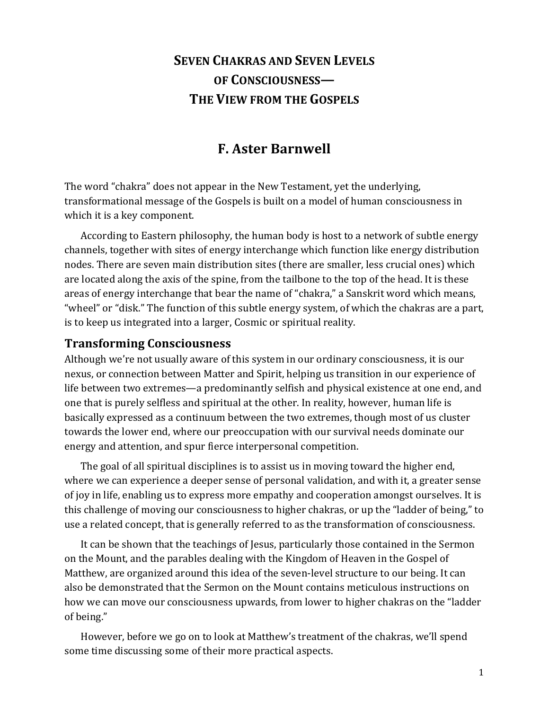# **SEVEN CHAKRAS AND SEVEN LEVELS OF%CONSCIOUSNESS— THE VIEW FROM THE GOSPELS**

# **F. Aster Barnwell**

The word "chakra" does not appear in the New Testament, yet the underlying, transformational message of the Gospels is built on a model of human consciousness in which it is a key component.

According to Eastern philosophy, the human body is host to a network of subtle energy channels, together with sites of energy interchange which function like energy distribution nodes. There are seven main distribution sites (there are smaller, less crucial ones) which are located along the axis of the spine, from the tailbone to the top of the head. It is these areas of energy interchange that bear the name of "chakra," a Sanskrit word which means, "wheel" or "disk." The function of this subtle energy system, of which the chakras are a part, is to keep us integrated into a larger, Cosmic or spiritual reality.

#### **Transforming Consciousness**

Although we're not usually aware of this system in our ordinary consciousness, it is our nexus, or connection between Matter and Spirit, helping us transition in our experience of life between two extremes—a predominantly selfish and physical existence at one end, and one that is purely selfless and spiritual at the other. In reality, however, human life is basically expressed as a continuum between the two extremes, though most of us cluster towards the lower end, where our preoccupation with our survival needs dominate our energy and attention, and spur fierce interpersonal competition.

The goal of all spiritual disciplines is to assist us in moving toward the higher end, where we can experience a deeper sense of personal validation, and with it, a greater sense of joy in life, enabling us to express more empathy and cooperation amongst ourselves. It is this challenge of moving our consciousness to higher chakras, or up the "ladder of being," to use a related concept, that is generally referred to as the transformation of consciousness.

It can be shown that the teachings of Jesus, particularly those contained in the Sermon on the Mount, and the parables dealing with the Kingdom of Heaven in the Gospel of Matthew, are organized around this idea of the seven-level structure to our being. It can also be demonstrated that the Sermon on the Mount contains meticulous instructions on how we can move our consciousness upwards, from lower to higher chakras on the "ladder" of being."

However, before we go on to look at Matthew's treatment of the chakras, we'll spend some time discussing some of their more practical aspects.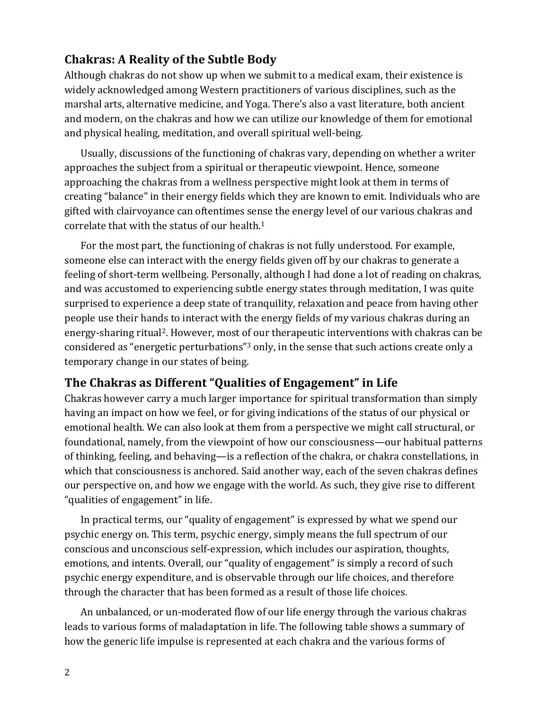## **Chakras: A Reality of the Subtle Body**

Although chakras do not show up when we submit to a medical exam, their existence is widely acknowledged among Western practitioners of various disciplines, such as the marshal arts, alternative medicine, and Yoga. There's also a vast literature, both ancient and modern, on the chakras and how we can utilize our knowledge of them for emotional and physical healing, meditation, and overall spiritual well-being.

Usually, discussions of the functioning of chakras vary, depending on whether a writer approaches the subject from a spiritual or therapeutic viewpoint. Hence, someone approaching the chakras from a wellness perspective might look at them in terms of creating "balance" in their energy fields which they are known to emit. Individuals who are gifted with clairvoyance can oftentimes sense the energy level of our various chakras and correlate that with the status of our health.<sup>1</sup>

For the most part, the functioning of chakras is not fully understood. For example, someone else can interact with the energy fields given off by our chakras to generate a feeling of short-term wellbeing. Personally, although I had done a lot of reading on chakras, and was accustomed to experiencing subtle energy states through meditation, I was quite surprised to experience a deep state of tranquility, relaxation and peace from having other people use their hands to interact with the energy fields of my various chakras during an energy-sharing ritual<sup>2</sup>. However, most of our therapeutic interventions with chakras can be considered as "energetic perturbations"<sup>3</sup> only, in the sense that such actions create only a temporary change in our states of being.

## **The Chakras as Different "Qualities of Engagement" in Life**

Chakras however carry a much larger importance for spiritual transformation than simply having an impact on how we feel, or for giving indications of the status of our physical or emotional health. We can also look at them from a perspective we might call structural, or foundational, namely, from the viewpoint of how our consciousness—our habitual patterns of thinking, feeling, and behaving—is a reflection of the chakra, or chakra constellations, in which that consciousness is anchored. Said another way, each of the seven chakras defines our perspective on, and how we engage with the world. As such, they give rise to different " qualities of engagement" in life.

In practical terms, our "quality of engagement" is expressed by what we spend our psychic energy on. This term, psychic energy, simply means the full spectrum of our conscious and unconscious self-expression, which includes our aspiration, thoughts, emotions, and intents. Overall, our "quality of engagement" is simply a record of such psychic energy expenditure, and is observable through our life choices, and therefore through the character that has been formed as a result of those life choices.

An unbalanced, or un-moderated flow of our life energy through the various chakras leads to various forms of maladaptation in life. The following table shows a summary of how the generic life impulse is represented at each chakra and the various forms of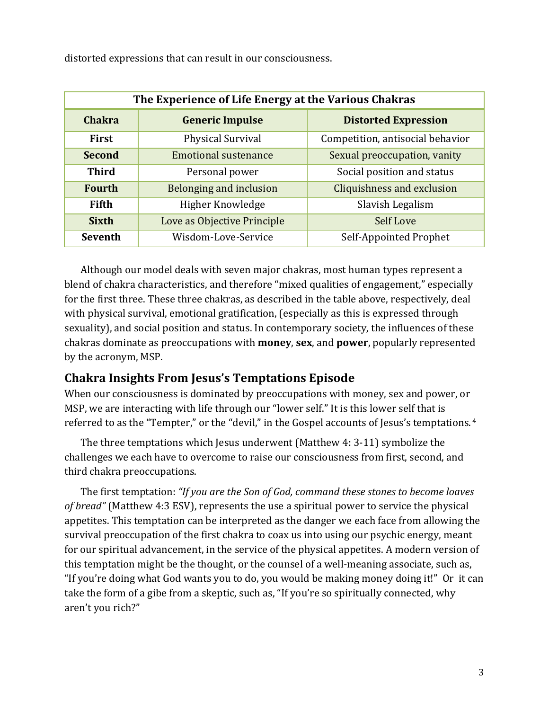| The Experience of Life Energy at the Various Chakras |                             |                                   |
|------------------------------------------------------|-----------------------------|-----------------------------------|
| <b>Chakra</b>                                        | <b>Generic Impulse</b>      | <b>Distorted Expression</b>       |
| <b>First</b>                                         | Physical Survival           | Competition, antisocial behavior  |
| <b>Second</b>                                        | <b>Emotional sustenance</b> | Sexual preoccupation, vanity      |
| <b>Third</b>                                         | Personal power              | Social position and status        |
| <b>Fourth</b>                                        | Belonging and inclusion     | <b>Cliquishness and exclusion</b> |
| <b>Fifth</b>                                         | Higher Knowledge            | Slavish Legalism                  |
| <b>Sixth</b>                                         | Love as Objective Principle | Self Love                         |
| <b>Seventh</b>                                       | Wisdom-Love-Service         | Self-Appointed Prophet            |

distorted expressions that can result in our consciousness.

Although our model deals with seven major chakras, most human types represent a blend of chakra characteristics, and therefore "mixed qualities of engagement," especially for the first three. These three chakras, as described in the table above, respectively, deal with physical survival, emotional gratification, (especially as this is expressed through sexuality), and social position and status. In contemporary society, the influences of these chakras dominate as preoccupations with **money**, sex, and **power**, popularly represented by the acronym, MSP.

## **Chakra Insights From Jesus's Temptations Episode**

When our consciousness is dominated by preoccupations with money, sex and power, or MSP, we are interacting with life through our "lower self." It is this lower self that is referred to as the "Tempter," or the "devil," in the Gospel accounts of Jesus's temptations.<sup>4</sup>

The three temptations which Jesus underwent (Matthew 4: 3-11) symbolize the challenges we each have to overcome to raise our consciousness from first, second, and third chakra preoccupations.

The first temptation: "If you are the Son of God, command these stones to become loaves of bread" (Matthew 4:3 ESV), represents the use a spiritual power to service the physical appetites. This temptation can be interpreted as the danger we each face from allowing the survival preoccupation of the first chakra to coax us into using our psychic energy, meant for our spiritual advancement, in the service of the physical appetites. A modern version of this temptation might be the thought, or the counsel of a well-meaning associate, such as, "If you're doing what God wants you to do, you would be making money doing it!" Or it can take the form of a gibe from a skeptic, such as, "If you're so spiritually connected, why aren't you rich?"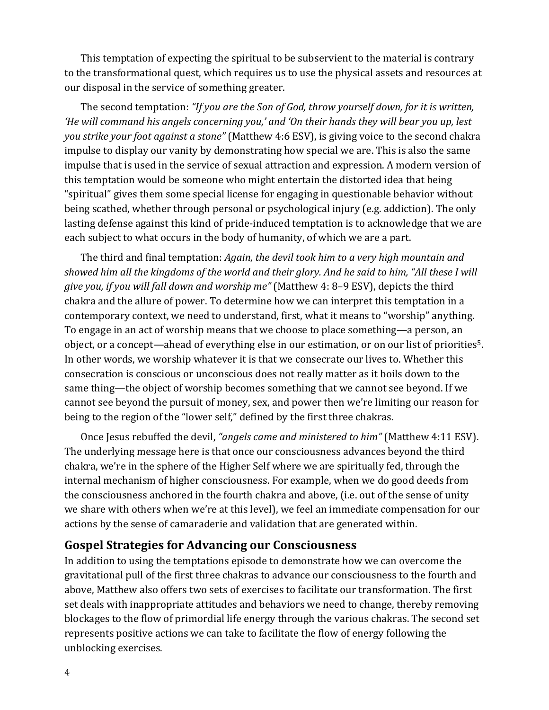This temptation of expecting the spiritual to be subservient to the material is contrary to the transformational quest, which requires us to use the physical assets and resources at our disposal in the service of something greater.

The second temptation: "If you are the Son of God, throw yourself down, for it is written, 'He will command his angels concerning you,' and 'On their hands they will bear you up, lest you strike your foot against a stone" (Matthew 4:6 ESV), is giving voice to the second chakra impulse to display our vanity by demonstrating how special we are. This is also the same impulse that is used in the service of sexual attraction and expression. A modern version of this temptation would be someone who might entertain the distorted idea that being "spiritual" gives them some special license for engaging in questionable behavior without being scathed, whether through personal or psychological injury (e.g. addiction). The only lasting defense against this kind of pride-induced temptation is to acknowledge that we are each subject to what occurs in the body of humanity, of which we are a part.

The third and final temptation: Again, the devil took him to a very high mountain and showed him all the kingdoms of the world and their glory. And he said to him, "All these I will give you, if you will fall down and worship me" (Matthew 4: 8-9 ESV), depicts the third chakra and the allure of power. To determine how we can interpret this temptation in a contemporary context, we need to understand, first, what it means to "worship" anything. To engage in an act of worship means that we choose to place something-a person, an object, or a concept—ahead of everything else in our estimation, or on our list of priorities<sup>5</sup>. In other words, we worship whatever it is that we consecrate our lives to. Whether this consecration is conscious or unconscious does not really matter as it boils down to the same thing—the object of worship becomes something that we cannot see beyond. If we cannot see beyond the pursuit of money, sex, and power then we're limiting our reason for being to the region of the "lower self," defined by the first three chakras.

Once Jesus rebuffed the devil, "angels came and ministered to him" (Matthew 4:11 ESV). The underlying message here is that once our consciousness advances beyond the third chakra, we're in the sphere of the Higher Self where we are spiritually fed, through the internal mechanism of higher consciousness. For example, when we do good deeds from the consciousness anchored in the fourth chakra and above, (i.e. out of the sense of unity we share with others when we're at this level), we feel an immediate compensation for our actions by the sense of camaraderie and validation that are generated within.

#### **Gospel Strategies for Advancing our Consciousness**

In addition to using the temptations episode to demonstrate how we can overcome the gravitational pull of the first three chakras to advance our consciousness to the fourth and above, Matthew also offers two sets of exercises to facilitate our transformation. The first set deals with inappropriate attitudes and behaviors we need to change, thereby removing blockages to the flow of primordial life energy through the various chakras. The second set represents positive actions we can take to facilitate the flow of energy following the unblocking exercises.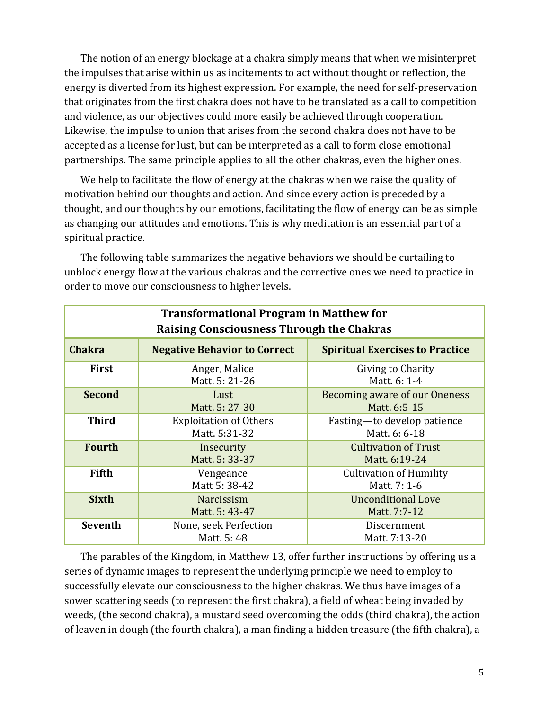The notion of an energy blockage at a chakra simply means that when we misinterpret the impulses that arise within us as incitements to act without thought or reflection, the energy is diverted from its highest expression. For example, the need for self-preservation that originates from the first chakra does not have to be translated as a call to competition and violence, as our objectives could more easily be achieved through cooperation. Likewise, the impulse to union that arises from the second chakra does not have to be accepted as a license for lust, but can be interpreted as a call to form close emotional partnerships. The same principle applies to all the other chakras, even the higher ones.

We help to facilitate the flow of energy at the chakras when we raise the quality of motivation behind our thoughts and action. And since every action is preceded by a thought, and our thoughts by our emotions, facilitating the flow of energy can be as simple as changing our attitudes and emotions. This is why meditation is an essential part of a spiritual practice.

| <b>Transformational Program in Matthew for</b><br><b>Raising Consciousness Through the Chakras</b> |                                                |                                                |
|----------------------------------------------------------------------------------------------------|------------------------------------------------|------------------------------------------------|
| <b>Chakra</b>                                                                                      | <b>Negative Behavior to Correct</b>            | <b>Spiritual Exercises to Practice</b>         |
| <b>First</b>                                                                                       | Anger, Malice<br>Matt. 5: 21-26                | Giving to Charity<br>Matt. 6: 1-4              |
| <b>Second</b>                                                                                      | Lust<br>Matt. 5: 27-30                         | Becoming aware of our Oneness<br>Matt. 6:5-15  |
| <b>Third</b>                                                                                       | <b>Exploitation of Others</b><br>Matt. 5:31-32 | Fasting-to develop patience<br>Matt. 6: 6-18   |
| <b>Fourth</b>                                                                                      | Insecurity<br>Matt. 5: 33-37                   | <b>Cultivation of Trust</b><br>Matt. 6:19-24   |
| <b>Fifth</b>                                                                                       | Vengeance<br>Matt 5: 38-42                     | <b>Cultivation of Humility</b><br>Matt. 7: 1-6 |
| <b>Sixth</b>                                                                                       | <b>Narcissism</b><br>Matt. 5: 43-47            | <b>Unconditional Love</b><br>Matt. 7:7-12      |
| <b>Seventh</b>                                                                                     | None, seek Perfection<br>Matt. 5: 48           | Discernment<br>Matt. 7:13-20                   |

The following table summarizes the negative behaviors we should be curtailing to unblock energy flow at the various chakras and the corrective ones we need to practice in order to move our consciousness to higher levels.

The parables of the Kingdom, in Matthew 13, offer further instructions by offering us a series of dynamic images to represent the underlying principle we need to employ to successfully elevate our consciousness to the higher chakras. We thus have images of a sower scattering seeds (to represent the first chakra), a field of wheat being invaded by weeds, (the second chakra), a mustard seed overcoming the odds (third chakra), the action of leaven in dough (the fourth chakra), a man finding a hidden treasure (the fifth chakra), a